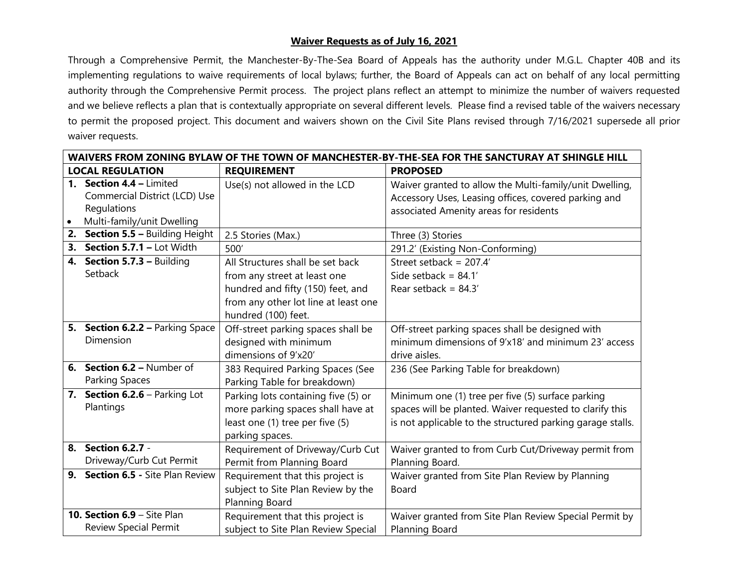## **Waiver Requests as of July 16, 2021**

Through a Comprehensive Permit, the Manchester-By-The-Sea Board of Appeals has the authority under M.G.L. Chapter 40B and its implementing regulations to waive requirements of local bylaws; further, the Board of Appeals can act on behalf of any local permitting authority through the Comprehensive Permit process. The project plans reflect an attempt to minimize the number of waivers requested and we believe reflects a plan that is contextually appropriate on several different levels. Please find a revised table of the waivers necessary to permit the proposed project. This document and waivers shown on the Civil Site Plans revised through 7/16/2021 supersede all prior waiver requests.

| WAIVERS FROM ZONING BYLAW OF THE TOWN OF MANCHESTER-BY-THE-SEA FOR THE SANCTURAY AT SHINGLE HILL |                                                                                                        |                                                                                                                                                                      |                                                                                                                                                                             |  |
|--------------------------------------------------------------------------------------------------|--------------------------------------------------------------------------------------------------------|----------------------------------------------------------------------------------------------------------------------------------------------------------------------|-----------------------------------------------------------------------------------------------------------------------------------------------------------------------------|--|
| <b>LOCAL REGULATION</b>                                                                          |                                                                                                        | <b>REQUIREMENT</b>                                                                                                                                                   | <b>PROPOSED</b>                                                                                                                                                             |  |
| $\bullet$                                                                                        | 1. Section 4.4 - Limited<br>Commercial District (LCD) Use<br>Regulations<br>Multi-family/unit Dwelling | Use(s) not allowed in the LCD                                                                                                                                        | Waiver granted to allow the Multi-family/unit Dwelling,<br>Accessory Uses, Leasing offices, covered parking and<br>associated Amenity areas for residents                   |  |
|                                                                                                  | 2. Section 5.5 - Building Height                                                                       | 2.5 Stories (Max.)                                                                                                                                                   | Three (3) Stories                                                                                                                                                           |  |
| 3.                                                                                               | Section 5.7.1 - Lot Width                                                                              | 500'                                                                                                                                                                 | 291.2' (Existing Non-Conforming)                                                                                                                                            |  |
|                                                                                                  | 4. Section 5.7.3 - Building<br>Setback                                                                 | All Structures shall be set back<br>from any street at least one<br>hundred and fifty (150) feet, and<br>from any other lot line at least one<br>hundred (100) feet. | Street setback = $207.4'$<br>Side setback = $84.1'$<br>Rear setback = $84.3'$                                                                                               |  |
|                                                                                                  | 5. Section 6.2.2 - Parking Space<br>Dimension                                                          | Off-street parking spaces shall be<br>designed with minimum<br>dimensions of 9'x20'                                                                                  | Off-street parking spaces shall be designed with<br>minimum dimensions of 9'x18' and minimum 23' access<br>drive aisles.                                                    |  |
|                                                                                                  | 6. Section 6.2 - Number of<br>Parking Spaces                                                           | 383 Required Parking Spaces (See<br>Parking Table for breakdown)                                                                                                     | 236 (See Parking Table for breakdown)                                                                                                                                       |  |
|                                                                                                  | 7. Section 6.2.6 - Parking Lot<br>Plantings                                                            | Parking lots containing five (5) or<br>more parking spaces shall have at<br>least one (1) tree per five (5)<br>parking spaces.                                       | Minimum one (1) tree per five (5) surface parking<br>spaces will be planted. Waiver requested to clarify this<br>is not applicable to the structured parking garage stalls. |  |
|                                                                                                  | 8. Section 6.2.7 -<br>Driveway/Curb Cut Permit                                                         | Requirement of Driveway/Curb Cut<br>Permit from Planning Board                                                                                                       | Waiver granted to from Curb Cut/Driveway permit from<br>Planning Board.                                                                                                     |  |
|                                                                                                  | 9. Section 6.5 - Site Plan Review                                                                      | Requirement that this project is<br>subject to Site Plan Review by the<br>Planning Board                                                                             | Waiver granted from Site Plan Review by Planning<br>Board                                                                                                                   |  |
|                                                                                                  | 10. Section 6.9 - Site Plan<br><b>Review Special Permit</b>                                            | Requirement that this project is<br>subject to Site Plan Review Special                                                                                              | Waiver granted from Site Plan Review Special Permit by<br>Planning Board                                                                                                    |  |